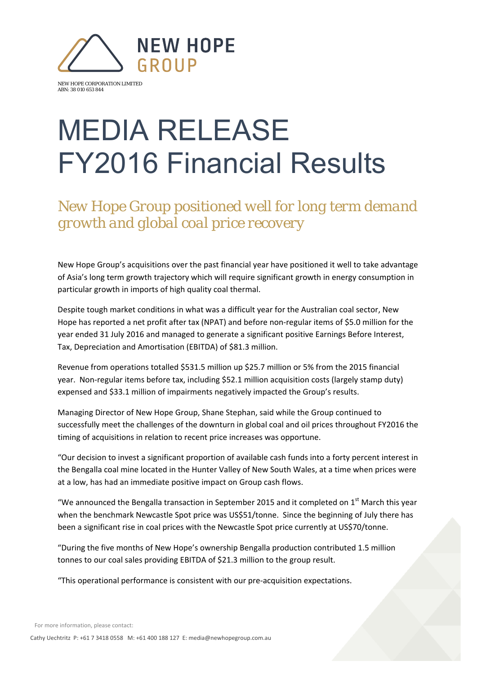

NEW HOPE CORPORATION LIMITED ABN: 38 010 653 844

## MEDIA RELEASE FY2016 Financial Results

*New Hope Group positioned well for long term demand growth and global coal price recovery* 

New Hope Group's acquisitions over the past financial year have positioned it well to take advantage of Asia's long term growth trajectory which will require significant growth in energy consumption in particular growth in imports of high quality coal thermal.

Despite tough market conditions in what was a difficult year for the Australian coal sector, New Hope has reported a net profit after tax (NPAT) and before non-regular items of \$5.0 million for the year ended 31 July 2016 and managed to generate a significant positive Earnings Before Interest, Tax, Depreciation and Amortisation (EBITDA) of \$81.3 million.

Revenue from operations totalled \$531.5 million up \$25.7 million or 5% from the 2015 financial year. Non‐regular items before tax, including \$52.1 million acquisition costs (largely stamp duty) expensed and \$33.1 million of impairments negatively impacted the Group's results.

Managing Director of New Hope Group, Shane Stephan, said while the Group continued to successfully meet the challenges of the downturn in global coal and oil prices throughout FY2016 the timing of acquisitions in relation to recent price increases was opportune.

"Our decision to invest a significant proportion of available cash funds into a forty percent interest in the Bengalla coal mine located in the Hunter Valley of New South Wales, at a time when prices were at a low, has had an immediate positive impact on Group cash flows.

"We announced the Bengalla transaction in September 2015 and it completed on  $1<sup>st</sup>$  March this year when the benchmark Newcastle Spot price was US\$51/tonne. Since the beginning of July there has been a significant rise in coal prices with the Newcastle Spot price currently at US\$70/tonne.

"During the five months of New Hope's ownership Bengalla production contributed 1.5 million tonnes to our coal sales providing EBITDA of \$21.3 million to the group result.

"This operational performance is consistent with our pre‐acquisition expectations.

For more information, please contact:

Cathy Uechtritz P: +61 7 3418 0558 M: +61 400 188 127 E: media@newhopegroup.com.au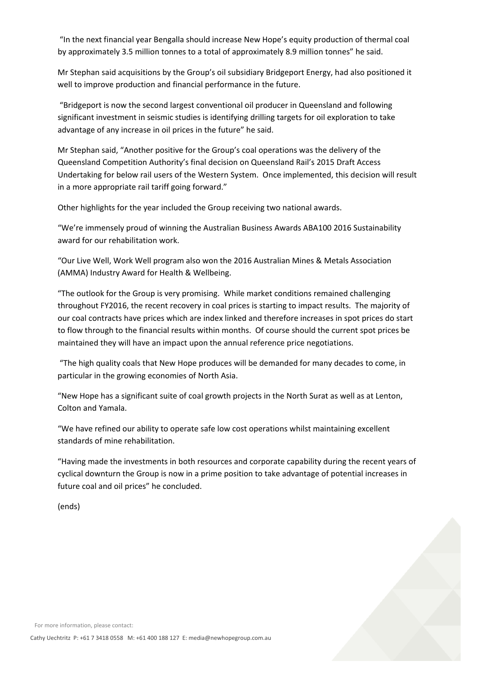"In the next financial year Bengalla should increase New Hope's equity production of thermal coal by approximately 3.5 million tonnes to a total of approximately 8.9 million tonnes" he said.

Mr Stephan said acquisitions by the Group's oil subsidiary Bridgeport Energy, had also positioned it well to improve production and financial performance in the future.

"Bridgeport is now the second largest conventional oil producer in Queensland and following significant investment in seismic studies is identifying drilling targets for oil exploration to take advantage of any increase in oil prices in the future" he said.

Mr Stephan said, "Another positive for the Group's coal operations was the delivery of the Queensland Competition Authority's final decision on Queensland Rail's 2015 Draft Access Undertaking for below rail users of the Western System. Once implemented, this decision will result in a more appropriate rail tariff going forward."

Other highlights for the year included the Group receiving two national awards.

"We're immensely proud of winning the Australian Business Awards ABA100 2016 Sustainability award for our rehabilitation work.

"Our Live Well, Work Well program also won the 2016 Australian Mines & Metals Association (AMMA) Industry Award for Health & Wellbeing.

"The outlook for the Group is very promising. While market conditions remained challenging throughout FY2016, the recent recovery in coal prices is starting to impact results. The majority of our coal contracts have prices which are index linked and therefore increases in spot prices do start to flow through to the financial results within months. Of course should the current spot prices be maintained they will have an impact upon the annual reference price negotiations.

"The high quality coals that New Hope produces will be demanded for many decades to come, in particular in the growing economies of North Asia.

"New Hope has a significant suite of coal growth projects in the North Surat as well as at Lenton, Colton and Yamala.

"We have refined our ability to operate safe low cost operations whilst maintaining excellent standards of mine rehabilitation.

"Having made the investments in both resources and corporate capability during the recent years of cyclical downturn the Group is now in a prime position to take advantage of potential increases in future coal and oil prices" he concluded.

(ends)



For more information, please contact: